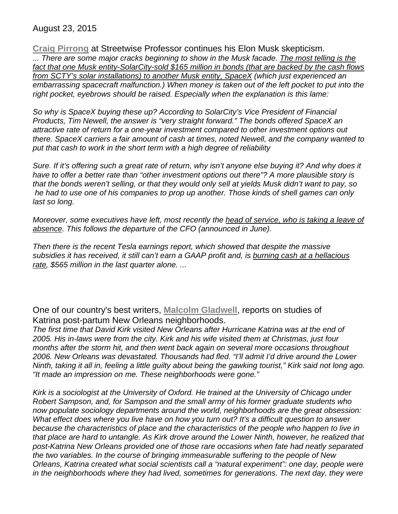August 23, 2015

**Craig Pirrong** at Streetwise Professor continues his Elon Musk skepticism. *... There are some major cracks beginning to show in the Musk facade. The most telling is the fact that one Musk entity-SolarCity-sold \$165 million in bonds (that are backed by the cash flows from SCTY's solar installations) to another Musk entity, SpaceX (which just experienced an embarrassing spacecraft malfunction.) When money is taken out of the left pocket to put into the right pocket, eyebrows should be raised. Especially when the explanation is this lame:*

*So why is SpaceX buying these up? According to SolarCity's Vice President of Financial Products, Tim Newell, the answer is "very straight forward." The bonds offered SpaceX an attractive rate of return for a one-year investment compared to other investment options out there. SpaceX carriers a fair amount of cash at times, noted Newell, and the company wanted to put that cash to work in the short term with a high degree of reliability*

*Sure. If it's offering such a great rate of return, why isn't anyone else buying it? And why does it have to offer a better rate than "other investment options out there"? A more plausible story is that the bonds weren't selling, or that they would only sell at yields Musk didn't want to pay, so he had to use one of his companies to prop up another. Those kinds of shell games can only last so long.*

*Moreover, some executives have left, most recently the head of service, who is taking a leave of absence. This follows the departure of the CFO (announced in June).*

*Then there is the recent Tesla earnings report, which showed that despite the massive subsidies it has received, it still can't earn a GAAP profit and, is burning cash at a hellacious rate, \$565 million in the last quarter alone. ...*

One of our country's best writers, **Malcolm Gladwell**, reports on studies of Katrina post-partum New Orleans neighborhoods.

*The first time that David Kirk visited New Orleans after Hurricane Katrina was at the end of 2005. His in-laws were from the city. Kirk and his wife visited them at Christmas, just four months after the storm hit, and then went back again on several more occasions throughout 2006. New Orleans was devastated. Thousands had fled. "I'll admit I'd drive around the Lower Ninth, taking it all in, feeling a little guilty about being the gawking tourist," Kirk said not long ago. "It made an impression on me. These neighborhoods were gone."*

*Kirk is a sociologist at the University of Oxford. He trained at the University of Chicago under Robert Sampson, and, for Sampson and the small army of his former graduate students who now populate sociology departments around the world, neighborhoods are the great obsession: What effect does where you live have on how you turn out? It's a difficult question to answer*  because the characteristics of place and the characteristics of the people who happen to live in *that place are hard to untangle. As Kirk drove around the Lower Ninth, however, he realized that post-Katrina New Orleans provided one of those rare occasions when fate had neatly separated the two variables. In the course of bringing immeasurable suffering to the people of New Orleans, Katrina created what social scientists call a "natural experiment": one day, people were in the neighborhoods where they had lived, sometimes for generations. The next day, they were*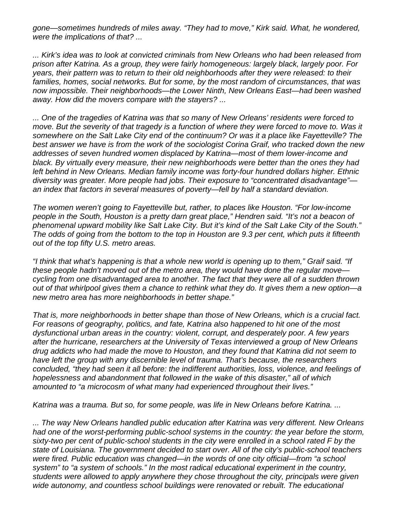*gone—sometimes hundreds of miles away. "They had to move," Kirk said. What, he wondered, were the implications of that? ...* 

*... Kirk's idea was to look at convicted criminals from New Orleans who had been released from prison after Katrina. As a group, they were fairly homogeneous: largely black, largely poor. For years, their pattern was to return to their old neighborhoods after they were released: to their families, homes, social networks. But for some, by the most random of circumstances, that was now impossible. Their neighborhoods—the Lower Ninth, New Orleans East—had been washed away. How did the movers compare with the stayers? ...*

*... One of the tragedies of Katrina was that so many of New Orleans' residents were forced to*  move. But the severity of that tragedy is a function of where they were forced to move to. Was it *somewhere on the Salt Lake City end of the continuum? Or was it a place like Fayetteville? The best answer we have is from the work of the sociologist Corina Graif, who tracked down the new addresses of seven hundred women displaced by Katrina—most of them lower-income and black. By virtually every measure, their new neighborhoods were better than the ones they had left behind in New Orleans. Median family income was forty-four hundred dollars higher. Ethnic diversity was greater. More people had jobs. Their exposure to "concentrated disadvantage" an index that factors in several measures of poverty—fell by half a standard deviation.*

*The women weren't going to Fayetteville but, rather, to places like Houston. "For low-income people in the South, Houston is a pretty darn great place," Hendren said. "It's not a beacon of phenomenal upward mobility like Salt Lake City. But it's kind of the Salt Lake City of the South." The odds of going from the bottom to the top in Houston are 9.3 per cent, which puts it fifteenth out of the top fifty U.S. metro areas.* 

*"I think that what's happening is that a whole new world is opening up to them," Graif said. "If these people hadn't moved out of the metro area, they would have done the regular move cycling from one disadvantaged area to another. The fact that they were all of a sudden thrown out of that whirlpool gives them a chance to rethink what they do. It gives them a new option—a new metro area has more neighborhoods in better shape."* 

*That is, more neighborhoods in better shape than those of New Orleans, which is a crucial fact. For reasons of geography, politics, and fate, Katrina also happened to hit one of the most dysfunctional urban areas in the country: violent, corrupt, and desperately poor. A few years after the hurricane, researchers at the University of Texas interviewed a group of New Orleans drug addicts who had made the move to Houston, and they found that Katrina did not seem to have left the group with any discernible level of trauma. That's because, the researchers concluded, "they had seen it all before: the indifferent authorities, loss, violence, and feelings of hopelessness and abandonment that followed in the wake of this disaster," all of which amounted to "a microcosm of what many had experienced throughout their lives."* 

*Katrina was a trauma. But so, for some people, was life in New Orleans before Katrina. ...* 

*... The way New Orleans handled public education after Katrina was very different. New Orleans had one of the worst-performing public-school systems in the country: the year before the storm, sixty-two per cent of public-school students in the city were enrolled in a school rated F by the state of Louisiana. The government decided to start over. All of the city's public-school teachers were fired. Public education was changed—in the words of one city official—from "a school system" to "a system of schools." In the most radical educational experiment in the country, students were allowed to apply anywhere they chose throughout the city, principals were given wide autonomy, and countless school buildings were renovated or rebuilt. The educational*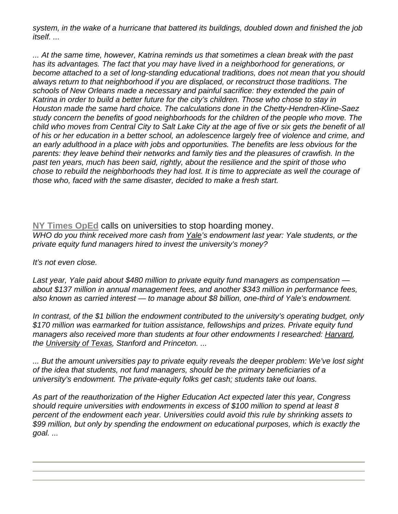*system, in the wake of a hurricane that battered its buildings, doubled down and finished the job itself. ...* 

*... At the same time, however, Katrina reminds us that sometimes a clean break with the past has its advantages. The fact that you may have lived in a neighborhood for generations, or become attached to a set of long-standing educational traditions, does not mean that you should always return to that neighborhood if you are displaced, or reconstruct those traditions. The schools of New Orleans made a necessary and painful sacrifice: they extended the pain of Katrina in order to build a better future for the city's children. Those who chose to stay in Houston made the same hard choice. The calculations done in the Chetty-Hendren-Kline-Saez study concern the benefits of good neighborhoods for the children of the people who move. The child who moves from Central City to Salt Lake City at the age of five or six gets the benefit of all of his or her education in a better school, an adolescence largely free of violence and crime, and an early adulthood in a place with jobs and opportunities. The benefits are less obvious for the parents: they leave behind their networks and family ties and the pleasures of crawfish. In the past ten years, much has been said, rightly, about the resilience and the spirit of those who chose to rebuild the neighborhoods they had lost. It is time to appreciate as well the courage of those who, faced with the same disaster, decided to make a fresh start.* 

**NY Times OpEd** calls on universities to stop hoarding money. *WHO do you think received more cash from Yale's endowment last year: Yale students, or the private equity fund managers hired to invest the university's money?*

*It's not even close.*

*Last year, Yale paid about \$480 million to private equity fund managers as compensation about \$137 million in annual management fees, and another \$343 million in performance fees, also known as carried interest — to manage about \$8 billion, one-third of Yale's endowment.*

*In contrast, of the \$1 billion the endowment contributed to the university's operating budget, only \$170 million was earmarked for tuition assistance, fellowships and prizes. Private equity fund managers also received more than students at four other endowments I researched: Harvard, the University of Texas, Stanford and Princeton. ...*

*... But the amount universities pay to private equity reveals the deeper problem: We've lost sight of the idea that students, not fund managers, should be the primary beneficiaries of a university's endowment. The private-equity folks get cash; students take out loans.*

*As part of the reauthorization of the Higher Education Act expected later this year, Congress should require universities with endowments in excess of \$100 million to spend at least 8 percent of the endowment each year. Universities could avoid this rule by shrinking assets to \$99 million, but only by spending the endowment on educational purposes, which is exactly the goal. ...*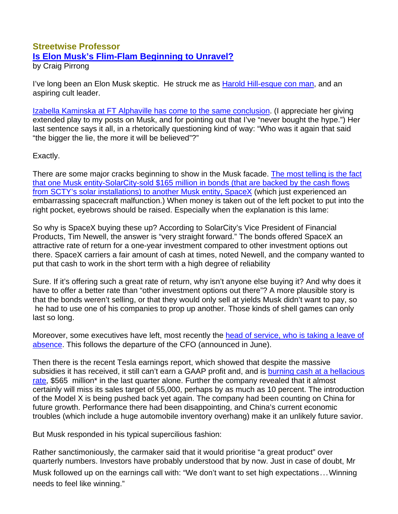## **Streetwise Professor Is Elon Musk's Flim-Flam Beginning to Unravel?**

by Craig Pirrong

I've long been an Elon Musk skeptic. He struck me as Harold Hill-esque con man, and an aspiring cult leader.

Izabella Kaminska at FT Alphaville has come to the same conclusion. (I appreciate her giving extended play to my posts on Musk, and for pointing out that I've "never bought the hype.") Her last sentence says it all, in a rhetorically questioning kind of way: "Who was it again that said "the bigger the lie, the more it will be believed"?"

Exactly.

There are some major cracks beginning to show in the Musk facade. The most telling is the fact that one Musk entity-SolarCity-sold \$165 million in bonds (that are backed by the cash flows from SCTY's solar installations) to another Musk entity, SpaceX (which just experienced an embarrassing spacecraft malfunction.) When money is taken out of the left pocket to put into the right pocket, eyebrows should be raised. Especially when the explanation is this lame:

So why is SpaceX buying these up? According to SolarCity's Vice President of Financial Products, Tim Newell, the answer is "very straight forward." The bonds offered SpaceX an attractive rate of return for a one-year investment compared to other investment options out there. SpaceX carriers a fair amount of cash at times, noted Newell, and the company wanted to put that cash to work in the short term with a high degree of reliability

Sure. If it's offering such a great rate of return, why isn't anyone else buying it? And why does it have to offer a better rate than "other investment options out there"? A more plausible story is that the bonds weren't selling, or that they would only sell at yields Musk didn't want to pay, so he had to use one of his companies to prop up another. Those kinds of shell games can only last so long.

Moreover, some executives have left, most recently the head of service, who is taking a leave of absence. This follows the departure of the CFO (announced in June).

Then there is the recent Tesla earnings report, which showed that despite the massive subsidies it has received, it still can't earn a GAAP profit and, and is burning cash at a hellacious rate, \$565 million<sup>\*</sup> in the last quarter alone. Further the company revealed that it almost certainly will miss its sales target of 55,000, perhaps by as much as 10 percent. The introduction of the Model X is being pushed back yet again. The company had been counting on China for future growth. Performance there had been disappointing, and China's current economic troubles (which include a huge automobile inventory overhang) make it an unlikely future savior.

But Musk responded in his typical supercilious fashion:

Rather sanctimoniously, the carmaker said that it would prioritise "a great product" over quarterly numbers. Investors have probably understood that by now. Just in case of doubt, Mr Musk followed up on the earnings call with: "We don't want to set high expectations...Winning needs to feel like winning."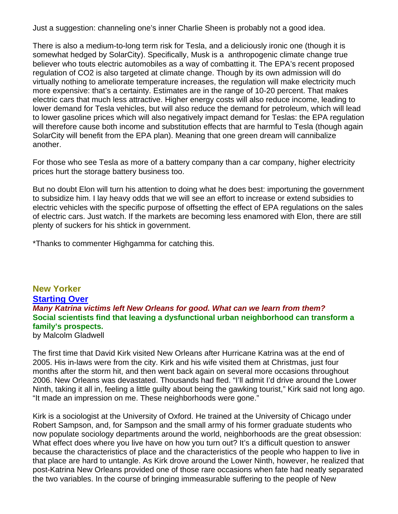Just a suggestion: channeling one's inner Charlie Sheen is probably not a good idea.

There is also a medium-to-long term risk for Tesla, and a deliciously ironic one (though it is somewhat hedged by SolarCity). Specifically, Musk is a anthropogenic climate change true believer who touts electric automobiles as a way of combatting it. The EPA's recent proposed regulation of CO2 is also targeted at climate change. Though by its own admission will do virtually nothing to ameliorate temperature increases, the regulation will make electricity much more expensive: that's a certainty. Estimates are in the range of 10-20 percent. That makes electric cars that much less attractive. Higher energy costs will also reduce income, leading to lower demand for Tesla vehicles, but will also reduce the demand for petroleum, which will lead to lower gasoline prices which will also negatively impact demand for Teslas: the EPA regulation will therefore cause both income and substitution effects that are harmful to Tesla (though again SolarCity will benefit from the EPA plan). Meaning that one green dream will cannibalize another.

For those who see Tesla as more of a battery company than a car company, higher electricity prices hurt the storage battery business too.

But no doubt Elon will turn his attention to doing what he does best: importuning the government to subsidize him. I lay heavy odds that we will see an effort to increase or extend subsidies to electric vehicles with the specific purpose of offsetting the effect of EPA regulations on the sales of electric cars. Just watch. If the markets are becoming less enamored with Elon, there are still plenty of suckers for his shtick in government.

\*Thanks to commenter Highgamma for catching this.

**New Yorker Starting Over** *Many Katrina victims left New Orleans for good. What can we learn from them?* **Social scientists find that leaving a dysfunctional urban neighborhood can transform a family's prospects.** by Malcolm Gladwell

The first time that David Kirk visited New Orleans after Hurricane Katrina was at the end of 2005. His in-laws were from the city. Kirk and his wife visited them at Christmas, just four months after the storm hit, and then went back again on several more occasions throughout 2006. New Orleans was devastated. Thousands had fled. "I'll admit I'd drive around the Lower Ninth, taking it all in, feeling a little guilty about being the gawking tourist," Kirk said not long ago. "It made an impression on me. These neighborhoods were gone."

Kirk is a sociologist at the University of Oxford. He trained at the University of Chicago under Robert Sampson, and, for Sampson and the small army of his former graduate students who now populate sociology departments around the world, neighborhoods are the great obsession: What effect does where you live have on how you turn out? It's a difficult question to answer because the characteristics of place and the characteristics of the people who happen to live in that place are hard to untangle. As Kirk drove around the Lower Ninth, however, he realized that post-Katrina New Orleans provided one of those rare occasions when fate had neatly separated the two variables. In the course of bringing immeasurable suffering to the people of New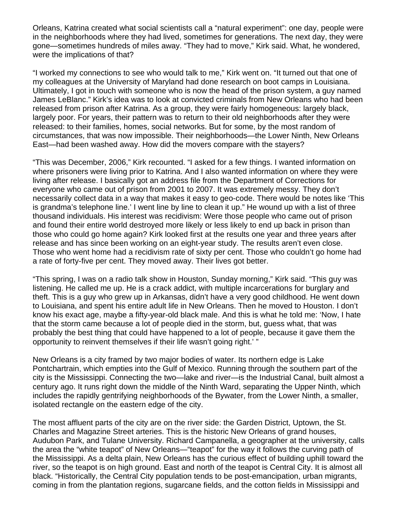Orleans, Katrina created what social scientists call a "natural experiment": one day, people were in the neighborhoods where they had lived, sometimes for generations. The next day, they were gone—sometimes hundreds of miles away. "They had to move," Kirk said. What, he wondered, were the implications of that?

"I worked my connections to see who would talk to me," Kirk went on. "It turned out that one of my colleagues at the University of Maryland had done research on boot camps in Louisiana. Ultimately, I got in touch with someone who is now the head of the prison system, a guy named James LeBlanc." Kirk's idea was to look at convicted criminals from New Orleans who had been released from prison after Katrina. As a group, they were fairly homogeneous: largely black, largely poor. For years, their pattern was to return to their old neighborhoods after they were released: to their families, homes, social networks. But for some, by the most random of circumstances, that was now impossible. Their neighborhoods—the Lower Ninth, New Orleans East—had been washed away. How did the movers compare with the stayers?

"This was December, 2006," Kirk recounted. "I asked for a few things. I wanted information on where prisoners were living prior to Katrina. And I also wanted information on where they were living after release. I basically got an address file from the Department of Corrections for everyone who came out of prison from 2001 to 2007. It was extremely messy. They don't necessarily collect data in a way that makes it easy to geo-code. There would be notes like 'This is grandma's telephone line.' I went line by line to clean it up." He wound up with a list of three thousand individuals. His interest was recidivism: Were those people who came out of prison and found their entire world destroyed more likely or less likely to end up back in prison than those who could go home again? Kirk looked first at the results one year and three years after release and has since been working on an eight-year study. The results aren't even close. Those who went home had a recidivism rate of sixty per cent. Those who couldn't go home had a rate of forty-five per cent. They moved away. Their lives got better.

"This spring, I was on a radio talk show in Houston, Sunday morning," Kirk said. "This guy was listening. He called me up. He is a crack addict, with multiple incarcerations for burglary and theft. This is a guy who grew up in Arkansas, didn't have a very good childhood. He went down to Louisiana, and spent his entire adult life in New Orleans. Then he moved to Houston. I don't know his exact age, maybe a fifty-year-old black male. And this is what he told me: 'Now, I hate that the storm came because a lot of people died in the storm, but, guess what, that was probably the best thing that could have happened to a lot of people, because it gave them the opportunity to reinvent themselves if their life wasn't going right.' "

New Orleans is a city framed by two major bodies of water. Its northern edge is Lake Pontchartrain, which empties into the Gulf of Mexico. Running through the southern part of the city is the Mississippi. Connecting the two—lake and river—is the Industrial Canal, built almost a century ago. It runs right down the middle of the Ninth Ward, separating the Upper Ninth, which includes the rapidly gentrifying neighborhoods of the Bywater, from the Lower Ninth, a smaller, isolated rectangle on the eastern edge of the city.

The most affluent parts of the city are on the river side: the Garden District, Uptown, the St. Charles and Magazine Street arteries. This is the historic New Orleans of grand houses, Audubon Park, and Tulane University. Richard Campanella, a geographer at the university, calls the area the "white teapot" of New Orleans—"teapot" for the way it follows the curving path of the Mississippi. As a delta plain, New Orleans has the curious effect of building uphill toward the river, so the teapot is on high ground. East and north of the teapot is Central City. It is almost all black. "Historically, the Central City population tends to be post-emancipation, urban migrants, coming in from the plantation regions, sugarcane fields, and the cotton fields in Mississippi and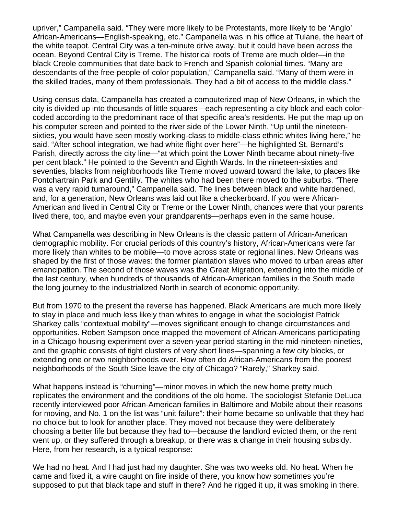upriver," Campanella said. "They were more likely to be Protestants, more likely to be 'Anglo' African-Americans—English-speaking, etc." Campanella was in his office at Tulane, the heart of the white teapot. Central City was a ten-minute drive away, but it could have been across the ocean. Beyond Central City is Treme. The historical roots of Treme are much older—in the black Creole communities that date back to French and Spanish colonial times. "Many are descendants of the free-people-of-color population," Campanella said. "Many of them were in the skilled trades, many of them professionals. They had a bit of access to the middle class."

Using census data, Campanella has created a computerized map of New Orleans, in which the city is divided up into thousands of little squares—each representing a city block and each colorcoded according to the predominant race of that specific area's residents. He put the map up on his computer screen and pointed to the river side of the Lower Ninth. "Up until the nineteensixties, you would have seen mostly working-class to middle-class ethnic whites living here," he said. "After school integration, we had white flight over here"—he highlighted St. Bernard's Parish, directly across the city line—"at which point the Lower Ninth became about ninety-five per cent black." He pointed to the Seventh and Eighth Wards. In the nineteen-sixties and seventies, blacks from neighborhoods like Treme moved upward toward the lake, to places like Pontchartrain Park and Gentilly. The whites who had been there moved to the suburbs. "There was a very rapid turnaround," Campanella said. The lines between black and white hardened, and, for a generation, New Orleans was laid out like a checkerboard. If you were African-American and lived in Central City or Treme or the Lower Ninth, chances were that your parents lived there, too, and maybe even your grandparents—perhaps even in the same house.

What Campanella was describing in New Orleans is the classic pattern of African-American demographic mobility. For crucial periods of this country's history, African-Americans were far more likely than whites to be mobile—to move across state or regional lines. New Orleans was shaped by the first of those waves: the former plantation slaves who moved to urban areas after emancipation. The second of those waves was the Great Migration, extending into the middle of the last century, when hundreds of thousands of African-American families in the South made the long journey to the industrialized North in search of economic opportunity.

But from 1970 to the present the reverse has happened. Black Americans are much more likely to stay in place and much less likely than whites to engage in what the sociologist Patrick Sharkey calls "contextual mobility"—moves significant enough to change circumstances and opportunities. Robert Sampson once mapped the movement of African-Americans participating in a Chicago housing experiment over a seven-year period starting in the mid-nineteen-nineties, and the graphic consists of tight clusters of very short lines—spanning a few city blocks, or extending one or two neighborhoods over. How often do African-Americans from the poorest neighborhoods of the South Side leave the city of Chicago? "Rarely," Sharkey said.

What happens instead is "churning"—minor moves in which the new home pretty much replicates the environment and the conditions of the old home. The sociologist Stefanie DeLuca recently interviewed poor African-American families in Baltimore and Mobile about their reasons for moving, and No. 1 on the list was "unit failure": their home became so unlivable that they had no choice but to look for another place. They moved not because they were deliberately choosing a better life but because they had to—because the landlord evicted them, or the rent went up, or they suffered through a breakup, or there was a change in their housing subsidy. Here, from her research, is a typical response:

We had no heat. And I had just had my daughter. She was two weeks old. No heat. When he came and fixed it, a wire caught on fire inside of there, you know how sometimes you're supposed to put that black tape and stuff in there? And he rigged it up, it was smoking in there.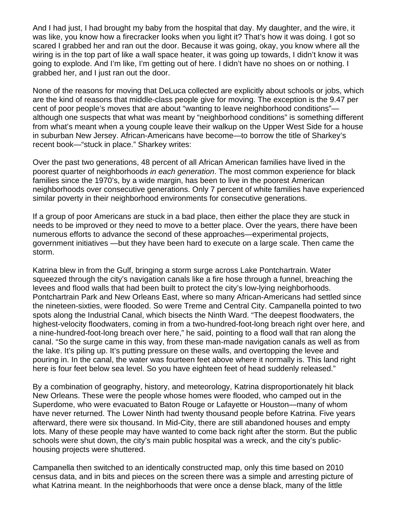And I had just, I had brought my baby from the hospital that day. My daughter, and the wire, it was like, you know how a firecracker looks when you light it? That's how it was doing. I got so scared I grabbed her and ran out the door. Because it was going, okay, you know where all the wiring is in the top part of like a wall space heater, it was going up towards, I didn't know it was going to explode. And I'm like, I'm getting out of here. I didn't have no shoes on or nothing. I grabbed her, and I just ran out the door.

None of the reasons for moving that DeLuca collected are explicitly about schools or jobs, which are the kind of reasons that middle-class people give for moving. The exception is the 9.47 per cent of poor people's moves that are about "wanting to leave neighborhood conditions" although one suspects that what was meant by "neighborhood conditions" is something different from what's meant when a young couple leave their walkup on the Upper West Side for a house in suburban New Jersey. African-Americans have become—to borrow the title of Sharkey's recent book—"stuck in place." Sharkey writes:

Over the past two generations, 48 percent of all African American families have lived in the poorest quarter of neighborhoods *in each generation*. The most common experience for black families since the 1970's, by a wide margin, has been to live in the poorest American neighborhoods over consecutive generations. Only 7 percent of white families have experienced similar poverty in their neighborhood environments for consecutive generations.

If a group of poor Americans are stuck in a bad place, then either the place they are stuck in needs to be improved or they need to move to a better place. Over the years, there have been numerous efforts to advance the second of these approaches—experimental projects, government initiatives —but they have been hard to execute on a large scale. Then came the storm.

Katrina blew in from the Gulf, bringing a storm surge across Lake Pontchartrain. Water squeezed through the city's navigation canals like a fire hose through a funnel, breaching the levees and flood walls that had been built to protect the city's low-lying neighborhoods. Pontchartrain Park and New Orleans East, where so many African-Americans had settled since the nineteen-sixties, were flooded. So were Treme and Central City. Campanella pointed to two spots along the Industrial Canal, which bisects the Ninth Ward. "The deepest floodwaters, the highest-velocity floodwaters, coming in from a two-hundred-foot-long breach right over here, and a nine-hundred-foot-long breach over here," he said, pointing to a flood wall that ran along the canal. "So the surge came in this way, from these man-made navigation canals as well as from the lake. It's piling up. It's putting pressure on these walls, and overtopping the levee and pouring in. In the canal, the water was fourteen feet above where it normally is. This land right here is four feet below sea level. So you have eighteen feet of head suddenly released."

By a combination of geography, history, and meteorology, Katrina disproportionately hit black New Orleans. These were the people whose homes were flooded, who camped out in the Superdome, who were evacuated to Baton Rouge or Lafayette or Houston—many of whom have never returned. The Lower Ninth had twenty thousand people before Katrina. Five years afterward, there were six thousand. In Mid-City, there are still abandoned houses and empty lots. Many of these people may have wanted to come back right after the storm. But the public schools were shut down, the city's main public hospital was a wreck, and the city's publichousing projects were shuttered.

Campanella then switched to an identically constructed map, only this time based on 2010 census data, and in bits and pieces on the screen there was a simple and arresting picture of what Katrina meant. In the neighborhoods that were once a dense black, many of the little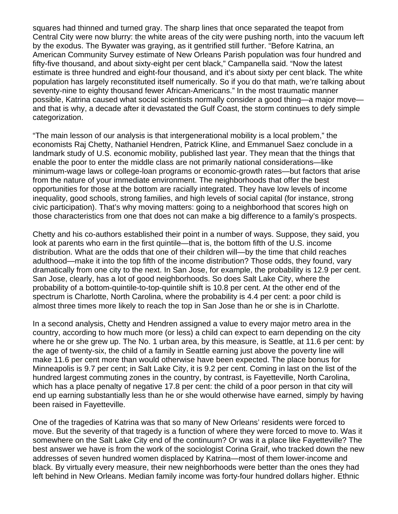squares had thinned and turned gray. The sharp lines that once separated the teapot from Central City were now blurry: the white areas of the city were pushing north, into the vacuum left by the exodus. The Bywater was graying, as it gentrified still further. "Before Katrina, an American Community Survey estimate of New Orleans Parish population was four hundred and fifty-five thousand, and about sixty-eight per cent black," Campanella said. "Now the latest estimate is three hundred and eight-four thousand, and it's about sixty per cent black. The white population has largely reconstituted itself numerically. So if you do that math, we're talking about seventy-nine to eighty thousand fewer African-Americans." In the most traumatic manner possible, Katrina caused what social scientists normally consider a good thing—a major move and that is why, a decade after it devastated the Gulf Coast, the storm continues to defy simple categorization.

"The main lesson of our analysis is that intergenerational mobility is a local problem," the economists Raj Chetty, Nathaniel Hendren, Patrick Kline, and Emmanuel Saez conclude in a landmark study of U.S. economic mobility, published last year. They mean that the things that enable the poor to enter the middle class are not primarily national considerations—like minimum-wage laws or college-loan programs or economic-growth rates—but factors that arise from the nature of your immediate environment. The neighborhoods that offer the best opportunities for those at the bottom are racially integrated. They have low levels of income inequality, good schools, strong families, and high levels of social capital (for instance, strong civic participation). That's why moving matters: going to a neighborhood that scores high on those characteristics from one that does not can make a big difference to a family's prospects.

Chetty and his co-authors established their point in a number of ways. Suppose, they said, you look at parents who earn in the first quintile—that is, the bottom fifth of the U.S. income distribution. What are the odds that one of their children will—by the time that child reaches adulthood—make it into the top fifth of the income distribution? Those odds, they found, vary dramatically from one city to the next. In San Jose, for example, the probability is 12.9 per cent. San Jose, clearly, has a lot of good neighborhoods. So does Salt Lake City, where the probability of a bottom-quintile-to-top-quintile shift is 10.8 per cent. At the other end of the spectrum is Charlotte, North Carolina, where the probability is 4.4 per cent: a poor child is almost three times more likely to reach the top in San Jose than he or she is in Charlotte.

In a second analysis, Chetty and Hendren assigned a value to every major metro area in the country, according to how much more (or less) a child can expect to earn depending on the city where he or she grew up. The No. 1 urban area, by this measure, is Seattle, at 11.6 per cent: by the age of twenty-six, the child of a family in Seattle earning just above the poverty line will make 11.6 per cent more than would otherwise have been expected. The place bonus for Minneapolis is 9.7 per cent; in Salt Lake City, it is 9.2 per cent. Coming in last on the list of the hundred largest commuting zones in the country, by contrast, is Fayetteville, North Carolina, which has a place penalty of negative 17.8 per cent: the child of a poor person in that city will end up earning substantially less than he or she would otherwise have earned, simply by having been raised in Fayetteville.

One of the tragedies of Katrina was that so many of New Orleans' residents were forced to move. But the severity of that tragedy is a function of where they were forced to move to. Was it somewhere on the Salt Lake City end of the continuum? Or was it a place like Fayetteville? The best answer we have is from the work of the sociologist Corina Graif, who tracked down the new addresses of seven hundred women displaced by Katrina—most of them lower-income and black. By virtually every measure, their new neighborhoods were better than the ones they had left behind in New Orleans. Median family income was forty-four hundred dollars higher. Ethnic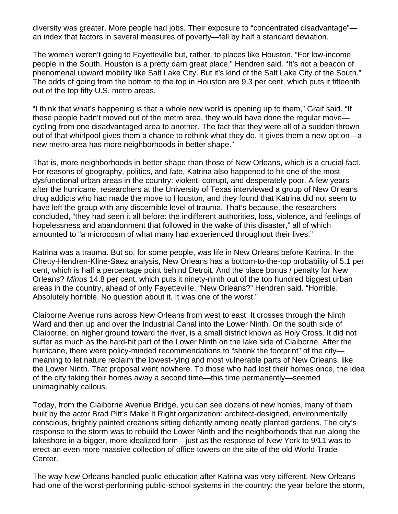diversity was greater. More people had jobs. Their exposure to "concentrated disadvantage" an index that factors in several measures of poverty—fell by half a standard deviation.

The women weren't going to Fayetteville but, rather, to places like Houston. "For low-income people in the South, Houston is a pretty darn great place," Hendren said. "It's not a beacon of phenomenal upward mobility like Salt Lake City. But it's kind of the Salt Lake City of the South." The odds of going from the bottom to the top in Houston are 9.3 per cent, which puts it fifteenth out of the top fifty U.S. metro areas.

"I think that what's happening is that a whole new world is opening up to them," Graif said. "If these people hadn't moved out of the metro area, they would have done the regular move cycling from one disadvantaged area to another. The fact that they were all of a sudden thrown out of that whirlpool gives them a chance to rethink what they do. It gives them a new option—a new metro area has more neighborhoods in better shape."

That is, more neighborhoods in better shape than those of New Orleans, which is a crucial fact. For reasons of geography, politics, and fate, Katrina also happened to hit one of the most dysfunctional urban areas in the country: violent, corrupt, and desperately poor. A few years after the hurricane, researchers at the University of Texas interviewed a group of New Orleans drug addicts who had made the move to Houston, and they found that Katrina did not seem to have left the group with any discernible level of trauma. That's because, the researchers concluded, "they had seen it all before: the indifferent authorities, loss, violence, and feelings of hopelessness and abandonment that followed in the wake of this disaster," all of which amounted to "a microcosm of what many had experienced throughout their lives."

Katrina was a trauma. But so, for some people, was life in New Orleans before Katrina. In the Chetty-Hendren-Kline-Saez analysis, New Orleans has a bottom-to-the-top probability of 5.1 per cent, which is half a percentage point behind Detroit. And the place bonus / penalty for New Orleans? *Minus* 14.8 per cent, which puts it ninety-ninth out of the top hundred biggest urban areas in the country, ahead of only Fayetteville. "New Orleans?" Hendren said. "Horrible. Absolutely horrible. No question about it. It was one of the worst."

Claiborne Avenue runs across New Orleans from west to east. It crosses through the Ninth Ward and then up and over the Industrial Canal into the Lower Ninth. On the south side of Claiborne, on higher ground toward the river, is a small district known as Holy Cross. It did not suffer as much as the hard-hit part of the Lower Ninth on the lake side of Claiborne. After the hurricane, there were policy-minded recommendations to "shrink the footprint" of the city meaning to let nature reclaim the lowest-lying and most vulnerable parts of New Orleans, like the Lower Ninth. That proposal went nowhere. To those who had lost their homes once, the idea of the city taking their homes away a second time—this time permanently—seemed unimaginably callous.

Today, from the Claiborne Avenue Bridge, you can see dozens of new homes, many of them built by the actor Brad Pitt's Make It Right organization: architect-designed, environmentally conscious, brightly painted creations sitting defiantly among neatly planted gardens. The city's response to the storm was to rebuild the Lower Ninth and the neighborhoods that run along the lakeshore in a bigger, more idealized form—just as the response of New York to 9/11 was to erect an even more massive collection of office towers on the site of the old World Trade Center.

The way New Orleans handled public education after Katrina was very different. New Orleans had one of the worst-performing public-school systems in the country: the year before the storm,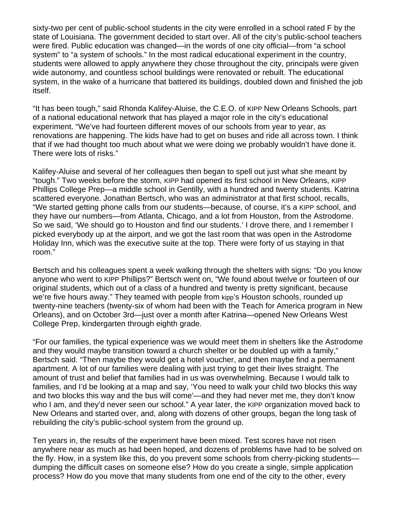sixty-two per cent of public-school students in the city were enrolled in a school rated F by the state of Louisiana. The government decided to start over. All of the city's public-school teachers were fired. Public education was changed—in the words of one city official—from "a school system" to "a system of schools." In the most radical educational experiment in the country, students were allowed to apply anywhere they chose throughout the city, principals were given wide autonomy, and countless school buildings were renovated or rebuilt. The educational system, in the wake of a hurricane that battered its buildings, doubled down and finished the job itself.

"It has been tough," said Rhonda Kalifey-Aluise, the C.E.O. of KIPP New Orleans Schools, part of a national educational network that has played a major role in the city's educational experiment. "We've had fourteen different moves of our schools from year to year, as renovations are happening. The kids have had to get on buses and ride all across town. I think that if we had thought too much about what we were doing we probably wouldn't have done it. There were lots of risks."

Kalifey-Aluise and several of her colleagues then began to spell out just what she meant by "tough." Two weeks before the storm, KIPP had opened its first school in New Orleans, KIPP Phillips College Prep—a middle school in Gentilly, with a hundred and twenty students. Katrina scattered everyone. Jonathan Bertsch, who was an administrator at that first school, recalls, "We started getting phone calls from our students—because, of course, it's a KIPP school, and they have our numbers—from Atlanta, Chicago, and a lot from Houston, from the Astrodome. So we said, 'We should go to Houston and find our students.' I drove there, and I remember I picked everybody up at the airport, and we got the last room that was open in the Astrodome Holiday Inn, which was the executive suite at the top. There were forty of us staying in that room."

Bertsch and his colleagues spent a week walking through the shelters with signs: "Do you know anyone who went to KIPP Phillips?" Bertsch went on, "We found about twelve or fourteen of our original students, which out of a class of a hundred and twenty is pretty significant, because we're five hours away." They teamed with people from kipp's Houston schools, rounded up twenty-nine teachers (twenty-six of whom had been with the Teach for America program in New Orleans), and on October 3rd—just over a month after Katrina—opened New Orleans West College Prep, kindergarten through eighth grade.

"For our families, the typical experience was we would meet them in shelters like the Astrodome and they would maybe transition toward a church shelter or be doubled up with a family," Bertsch said. "Then maybe they would get a hotel voucher, and then maybe find a permanent apartment. A lot of our families were dealing with just trying to get their lives straight. The amount of trust and belief that families had in us was overwhelming. Because I would talk to families, and I'd be looking at a map and say, 'You need to walk your child two blocks this way and two blocks this way and the bus will come'—and they had never met me, they don't know who I am, and they'd never seen our school." A year later, the KIPP organization moved back to New Orleans and started over, and, along with dozens of other groups, began the long task of rebuilding the city's public-school system from the ground up.

Ten years in, the results of the experiment have been mixed. Test scores have not risen anywhere near as much as had been hoped, and dozens of problems have had to be solved on the fly. How, in a system like this, do you prevent some schools from cherry-picking students dumping the difficult cases on someone else? How do you create a single, simple application process? How do you move that many students from one end of the city to the other, every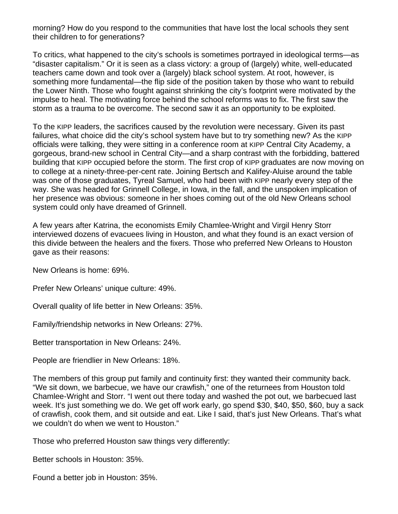morning? How do you respond to the communities that have lost the local schools they sent their children to for generations?

To critics, what happened to the city's schools is sometimes portrayed in ideological terms—as "disaster capitalism." Or it is seen as a class victory: a group of (largely) white, well-educated teachers came down and took over a (largely) black school system. At root, however, is something more fundamental—the flip side of the position taken by those who want to rebuild the Lower Ninth. Those who fought against shrinking the city's footprint were motivated by the impulse to heal. The motivating force behind the school reforms was to fix. The first saw the storm as a trauma to be overcome. The second saw it as an opportunity to be exploited.

To the KIPP leaders, the sacrifices caused by the revolution were necessary. Given its past failures, what choice did the city's school system have but to try something new? As the KIPP officials were talking, they were sitting in a conference room at KIPP Central City Academy, a gorgeous, brand-new school in Central City—and a sharp contrast with the forbidding, battered building that KIPP occupied before the storm. The first crop of KIPP graduates are now moving on to college at a ninety-three-per-cent rate. Joining Bertsch and Kalifey-Aluise around the table was one of those graduates, Tyreal Samuel, who had been with KIPP nearly every step of the way. She was headed for Grinnell College, in Iowa, in the fall, and the unspoken implication of her presence was obvious: someone in her shoes coming out of the old New Orleans school system could only have dreamed of Grinnell.

A few years after Katrina, the economists Emily Chamlee-Wright and Virgil Henry Storr interviewed dozens of evacuees living in Houston, and what they found is an exact version of this divide between the healers and the fixers. Those who preferred New Orleans to Houston gave as their reasons:

New Orleans is home: 69%.

Prefer New Orleans' unique culture: 49%.

Overall quality of life better in New Orleans: 35%.

Family/friendship networks in New Orleans: 27%.

Better transportation in New Orleans: 24%.

People are friendlier in New Orleans: 18%.

The members of this group put family and continuity first: they wanted their community back. "We sit down, we barbecue, we have our crawfish," one of the returnees from Houston told Chamlee-Wright and Storr. "I went out there today and washed the pot out, we barbecued last week. It's just something we do. We get off work early, go spend \$30, \$40, \$50, \$60, buy a sack of crawfish, cook them, and sit outside and eat. Like I said, that's just New Orleans. That's what we couldn't do when we went to Houston."

Those who preferred Houston saw things very differently:

Better schools in Houston: 35%.

Found a better job in Houston: 35%.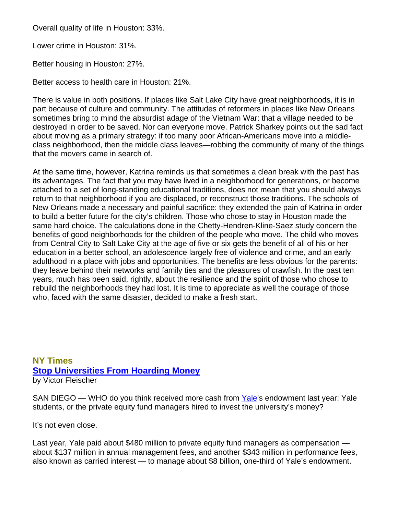Overall quality of life in Houston: 33%.

Lower crime in Houston: 31%.

Better housing in Houston: 27%.

Better access to health care in Houston: 21%.

There is value in both positions. If places like Salt Lake City have great neighborhoods, it is in part because of culture and community. The attitudes of reformers in places like New Orleans sometimes bring to mind the absurdist adage of the Vietnam War: that a village needed to be destroyed in order to be saved. Nor can everyone move. Patrick Sharkey points out the sad fact about moving as a primary strategy: if too many poor African-Americans move into a middleclass neighborhood, then the middle class leaves—robbing the community of many of the things that the movers came in search of.

At the same time, however, Katrina reminds us that sometimes a clean break with the past has its advantages. The fact that you may have lived in a neighborhood for generations, or become attached to a set of long-standing educational traditions, does not mean that you should always return to that neighborhood if you are displaced, or reconstruct those traditions. The schools of New Orleans made a necessary and painful sacrifice: they extended the pain of Katrina in order to build a better future for the city's children. Those who chose to stay in Houston made the same hard choice. The calculations done in the Chetty-Hendren-Kline-Saez study concern the benefits of good neighborhoods for the children of the people who move. The child who moves from Central City to Salt Lake City at the age of five or six gets the benefit of all of his or her education in a better school, an adolescence largely free of violence and crime, and an early adulthood in a place with jobs and opportunities. The benefits are less obvious for the parents: they leave behind their networks and family ties and the pleasures of crawfish. In the past ten years, much has been said, rightly, about the resilience and the spirit of those who chose to rebuild the neighborhoods they had lost. It is time to appreciate as well the courage of those who, faced with the same disaster, decided to make a fresh start.

## **NY Times Stop Universities From Hoarding Money** by Victor Fleischer

SAN DIEGO — WHO do you think received more cash from Yale's endowment last year: Yale students, or the private equity fund managers hired to invest the university's money?

It's not even close.

Last year, Yale paid about \$480 million to private equity fund managers as compensation about \$137 million in annual management fees, and another \$343 million in performance fees, also known as carried interest — to manage about \$8 billion, one-third of Yale's endowment.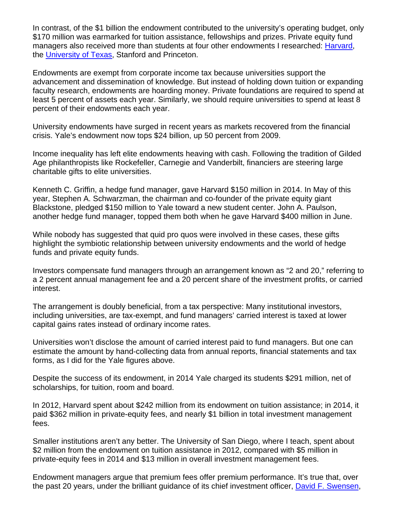In contrast, of the \$1 billion the endowment contributed to the university's operating budget, only \$170 million was earmarked for tuition assistance, fellowships and prizes. Private equity fund managers also received more than students at four other endowments I researched: Harvard, the University of Texas, Stanford and Princeton.

Endowments are exempt from corporate income tax because universities support the advancement and dissemination of knowledge. But instead of holding down tuition or expanding faculty research, endowments are hoarding money. Private foundations are required to spend at least 5 percent of assets each year. Similarly, we should require universities to spend at least 8 percent of their endowments each year.

University endowments have surged in recent years as markets recovered from the financial crisis. Yale's endowment now tops \$24 billion, up 50 percent from 2009.

Income inequality has left elite endowments heaving with cash. Following the tradition of Gilded Age philanthropists like Rockefeller, Carnegie and Vanderbilt, financiers are steering large charitable gifts to elite universities.

Kenneth C. Griffin, a hedge fund manager, gave Harvard \$150 million in 2014. In May of this year, Stephen A. Schwarzman, the chairman and co-founder of the private equity giant Blackstone, pledged \$150 million to Yale toward a new student center. John A. Paulson, another hedge fund manager, topped them both when he gave Harvard \$400 million in June.

While nobody has suggested that quid pro quos were involved in these cases, these gifts highlight the symbiotic relationship between university endowments and the world of hedge funds and private equity funds.

Investors compensate fund managers through an arrangement known as "2 and 20," referring to a 2 percent annual management fee and a 20 percent share of the investment profits, or carried interest.

The arrangement is doubly beneficial, from a tax perspective: Many institutional investors, including universities, are tax-exempt, and fund managers' carried interest is taxed at lower capital gains rates instead of ordinary income rates.

Universities won't disclose the amount of carried interest paid to fund managers. But one can estimate the amount by hand-collecting data from annual reports, financial statements and tax forms, as I did for the Yale figures above.

Despite the success of its endowment, in 2014 Yale charged its students \$291 million, net of scholarships, for tuition, room and board.

In 2012, Harvard spent about \$242 million from its endowment on tuition assistance; in 2014, it paid \$362 million in private-equity fees, and nearly \$1 billion in total investment management fees.

Smaller institutions aren't any better. The University of San Diego, where I teach, spent about \$2 million from the endowment on tuition assistance in 2012, compared with \$5 million in private-equity fees in 2014 and \$13 million in overall investment management fees.

Endowment managers argue that premium fees offer premium performance. It's true that, over the past 20 years, under the brilliant guidance of its chief investment officer, David F. Swensen,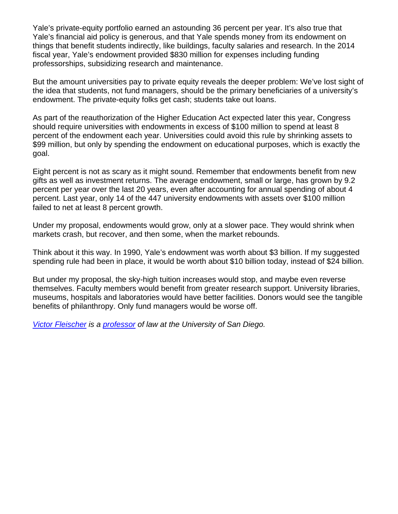Yale's private-equity portfolio earned an astounding 36 percent per year. It's also true that Yale's financial aid policy is generous, and that Yale spends money from its endowment on things that benefit students indirectly, like buildings, faculty salaries and research. In the 2014 fiscal year, Yale's endowment provided \$830 million for expenses including funding professorships, subsidizing research and maintenance.

But the amount universities pay to private equity reveals the deeper problem: We've lost sight of the idea that students, not fund managers, should be the primary beneficiaries of a university's endowment. The private-equity folks get cash; students take out loans.

As part of the reauthorization of the Higher Education Act expected later this year, Congress should require universities with endowments in excess of \$100 million to spend at least 8 percent of the endowment each year. Universities could avoid this rule by shrinking assets to \$99 million, but only by spending the endowment on educational purposes, which is exactly the goal.

Eight percent is not as scary as it might sound. Remember that endowments benefit from new gifts as well as investment returns. The average endowment, small or large, has grown by 9.2 percent per year over the last 20 years, even after accounting for annual spending of about 4 percent. Last year, only 14 of the 447 university endowments with assets over \$100 million failed to net at least 8 percent growth.

Under my proposal, endowments would grow, only at a slower pace. They would shrink when markets crash, but recover, and then some, when the market rebounds.

Think about it this way. In 1990, Yale's endowment was worth about \$3 billion. If my suggested spending rule had been in place, it would be worth about \$10 billion today, instead of \$24 billion.

But under my proposal, the sky-high tuition increases would stop, and maybe even reverse themselves. Faculty members would benefit from greater research support. University libraries, museums, hospitals and laboratories would have better facilities. Donors would see the tangible benefits of philanthropy. Only fund managers would be worse off.

*Victor Fleischer is a professor of law at the University of San Diego.*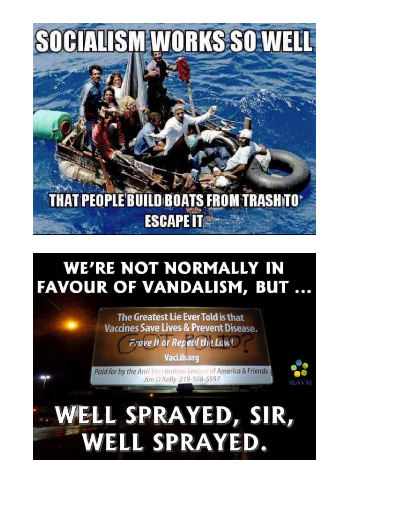

## **THAT PEOPLE BUILD BOATS FROM TRASH TO\* ESCAPE IT**

## **WE'RE NOT NORMALLY IN FAVOUR OF VANDALISM, BUT...**

The Greatest Lie Ever Told is that Vaccines Save Lives & Prevent Disease. **Prove It or Repeal the Law!** 

**VacLib.org** 

Paid for by the Anti Vaccination League of America & Friends Jim O'Kelly 219-508-5597

WELL SPRAYED, SIR, WELL SPRAYED.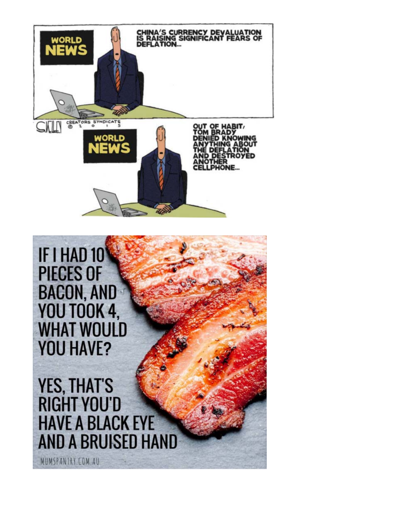

IF I HAD 10 **PIECES OF BACON, AND YOU TOOK 4, WHAT WOULD YOU HAVE?** 

**YES, THAT'S RIGHT YOU'D HAVE A BLACK EYE AND A BRUISED HAND** 

MUMSPANTRY.COM.AU